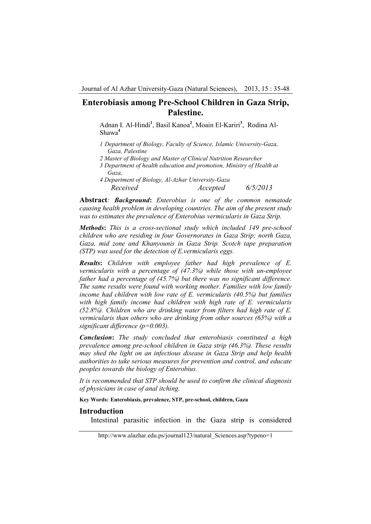Adnan I. Al-Hindi**<sup>1</sup>** , Basil Kanoa**<sup>2</sup>** , Moain El-Kariri**<sup>3</sup>** , Rodina Al-Shawa**<sup>4</sup>**

- *1 Department of Biology, Faculty of Science, Islamic University-Gaza, Gaza, Palestine*
- *2 Master of Biology and Master of Clinical Nutrition Researcher*
- *3 Department of health education and promotion, Ministry of Health at Gaza,*
- *4 Department of Biology, Al-Azhar University-Gaza Received Accepted 6/5/2013*

**Abstract***: Background***:** *Enterobius is one of the common nematode causing health problem in developing countries. The aim of the present study was to estimates the prevalence of Enterobius vermicularis in Gaza Strip.* 

*Methods***:** *This is a cross-sectional study which included 149 pre-school children who are residing in four Governorates in Gaza Strip; north Gaza, Gaza, mid zone and Khanyounis in Gaza Strip. Scotch tape preparation (STP) was used for the detection of E.vermicularis eggs.* 

*Results***:** *Children with employee father had high prevalence of E. vermicularis with a percentage of (47.3%) while those with un-employee father had a percentage of (45.7%) but there was no significant difference. The same results were found with working mother. Families with low family income had children with low rate of E. vermicularis (40.5%) but families with high family income had children with high rate of E. vermicularis (52.8%). Children who are drinking water from filters had high rate of E. vermicularis than others who are drinking from other sources (65%) with a significant difference (p=0.003).* 

*Conclusion***:** *The study concluded that enterobiasis constituted a high prevalence among pre-school children in Gaza strip (46.3%). These results may shed the light on an infectious disease in Gaza Strip and help health authorities to take serious measures for prevention and control, and educate peoples towards the biology of Enterobius.* 

*It is recommended that STP should be used to confirm the clinical diagnosis of physicians in case of anal itching.* 

**Key Words: Enterobiasis, prevalence, STP, pre-school, children, Gaza** 

### **Introduction**

Intestinal parasitic infection in the Gaza strip is considered

http://www.alazhar.edu.ps/journal123/natural\_Sciences.asp?typeno=1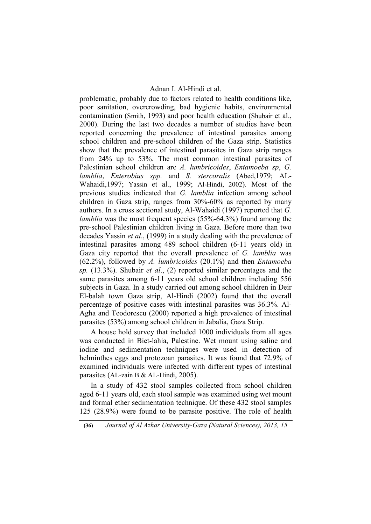### Adnan I. Al-Hindi et al.

problematic, probably due to factors related to health conditions like, poor sanitation, overcrowding, bad hygienic habits, environmental contamination (Smith, 1993) and poor health education (Shubair et al., 2000). During the last two decades a number of studies have been reported concerning the prevalence of intestinal parasites among school children and pre-school children of the Gaza strip. Statistics show that the prevalence of intestinal parasites in Gaza strip ranges from 24% up to 53%. The most common intestinal parasites of Palestinian school children are *A. lumbricoides*, *Entamoeba sp*, *G. lamblia*, *Enterobius spp.* and *S. stercoralis* (Abed,1979; AL-Wahaidi,1997; Yassin et al., 1999; Al-Hindi, 2002). Most of the previous studies indicated that *G. lamblia* infection among school children in Gaza strip, ranges from 30%-60% as reported by many authors. In a cross sectional study, Al-Wahaidi (1997) reported that *G. lamblia* was the most frequent species (55%-64.3%) found among the pre-school Palestinian children living in Gaza. Before more than two decades Yassin *et al*., (1999) in a study dealing with the prevalence of intestinal parasites among 489 school children (6-11 years old) in Gaza city reported that the overall prevalence of *G. lamblia* was (62.2%), followed by *A. lumbricoides* (20.1%) and then *Entamoeba sp.* (13.3%). Shubair *et al*., (2) reported similar percentages and the same parasites among 6-11 years old school children including 556 subjects in Gaza. In a study carried out among school children in Deir El-balah town Gaza strip, Al-Hindi (2002) found that the overall percentage of positive cases with intestinal parasites was 36.3%. Al-Agha and Teodorescu (2000) reported a high prevalence of intestinal parasites (53%) among school children in Jabalia, Gaza Strip.

A house hold survey that included 1000 individuals from all ages was conducted in Biet-lahia, Palestine. Wet mount using saline and iodine and sedimentation techniques were used in detection of helminthes eggs and protozoan parasites. It was found that 72.9% of examined individuals were infected with different types of intestinal parasites (AL-zain B & AL-Hindi, 2005).

In a study of 432 stool samples collected from school children aged 6-11 years old, each stool sample was examined using wet mount and formal ether sedimentation technique. Of these 432 stool samples 125 (28.9%) were found to be parasite positive. The role of health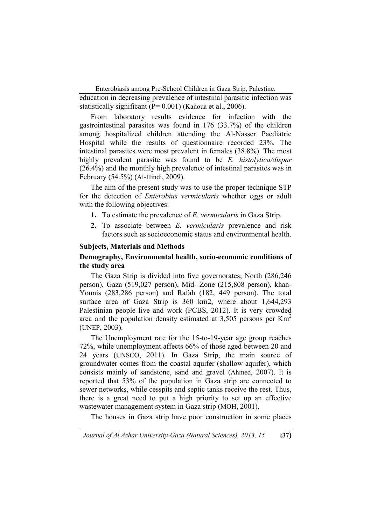Enterobiasis among Pre-School Children in Gaza Strip, Palestine. education in decreasing prevalence of intestinal parasitic infection was statistically significant (P= 0.001) (Kanoua et al., 2006).

From laboratory results evidence for infection with the gastrointestinal parasites was found in 176 (33.7%) of the children among hospitalized children attending the Al-Nasser Paediatric Hospital while the results of questionnaire recorded 23%. The intestinal parasites were most prevalent in females (38.8%). The most highly prevalent parasite was found to be *E. histolytica/dispar* (26.4%) and the monthly high prevalence of intestinal parasites was in February (54.5%) (Al-Hindi, 2009).

The aim of the present study was to use the proper technique STP for the detection of *Enterobius vermicularis* whether eggs or adult with the following objectives:

- **1.** To estimate the prevalence of *E. vermicularis* in Gaza Strip.
- **2.** To associate between *E. vermicularis* prevalence and risk factors such as socioeconomic status and environmental health.

### **Subjects, Materials and Methods**

# **Demography, Environmental health, socio-economic conditions of the study area**

The Gaza Strip is divided into five governorates; North (286,246 person), Gaza (519,027 person), Mid- Zone (215,808 person), khan-Younis (283,286 person) and Rafah (182, 449 person). The total surface area of Gaza Strip is 360 km2, where about 1,644,293 Palestinian people live and work (PCBS, 2012). It is very crowded area and the population density estimated at  $3,505$  persons per Km<sup>2</sup> (UNEP, 2003).

The Unemployment rate for the 15-to-19-year age group reaches 72%, while unemployment affects 66% of those aged between 20 and 24 years (UNSCO, 2011). In Gaza Strip, the main source of groundwater comes from the coastal aquifer (shallow aquifer), which consists mainly of sandstone, sand and gravel (Ahmed, 2007). It is reported that 53% of the population in Gaza strip are connected to sewer networks, while cesspits and septic tanks receive the rest. Thus, there is a great need to put a high priority to set up an effective wastewater management system in Gaza strip (MOH, 2001).

The houses in Gaza strip have poor construction in some places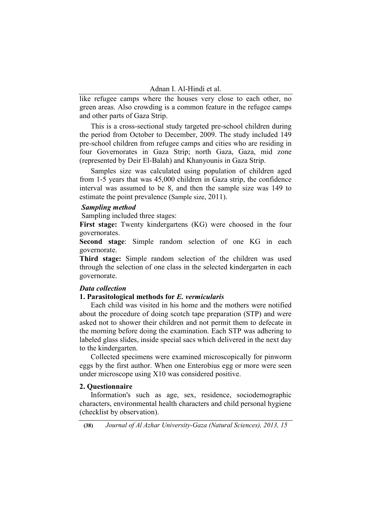like refugee camps where the houses very close to each other, no green areas. Also crowding is a common feature in the refugee camps and other parts of Gaza Strip.

This is a cross-sectional study targeted pre-school children during the period from October to December, 2009. The study included 149 pre-school children from refugee camps and cities who are residing in four Governorates in Gaza Strip; north Gaza, Gaza, mid zone (represented by Deir El-Balah) and Khanyounis in Gaza Strip.

Samples size was calculated using population of children aged from 1-5 years that was 45,000 children in Gaza strip, the confidence interval was assumed to be 8, and then the sample size was 149 to estimate the point prevalence (Sample size, 2011).

### *Sampling method*

Sampling included three stages:

**First stage:** Twenty kindergartens (KG) were choosed in the four governorates.

**Second stage**: Simple random selection of one KG in each governorate.

**Third stage:** Simple random selection of the children was used through the selection of one class in the selected kindergarten in each governorate.

#### *Data collection*

### **1. Parasitological methods for** *E. vermicularis*

Each child was visited in his home and the mothers were notified about the procedure of doing scotch tape preparation (STP) and were asked not to shower their children and not permit them to defecate in the morning before doing the examination. Each STP was adhering to labeled glass slides, inside special sacs which delivered in the next day to the kindergarten.

Collected specimens were examined microscopically for pinworm eggs by the first author. When one Enterobius egg or more were seen under microscope using X10 was considered positive.

# **2. Questionnaire**

Information's such as age, sex, residence, sociodemographic characters, environmental health characters and child personal hygiene (checklist by observation).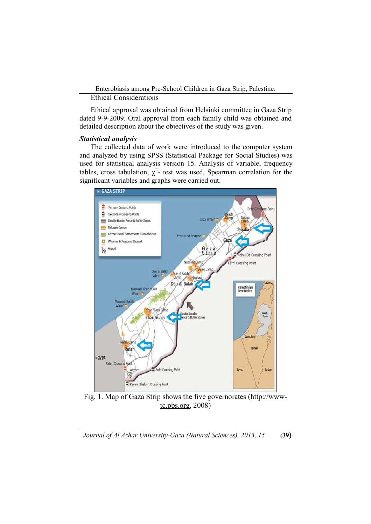### Ethical Considerations

Ethical approval was obtained from Helsinki committee in Gaza Strip dated 9-9-2009. Oral approval from each family child was obtained and detailed description about the objectives of the study was given.

# *Statistical analysis*

The collected data of work were introduced to the computer system and analyzed by using SPSS (Statistical Package for Social Studies) was used for statistical analysis version 15. Analysis of variable, frequency tables, cross tabulation,  $\chi^2$ - test was used, Spearman correlation for the significant variables and graphs were carried out.



Fig. 1. Map of Gaza Strip shows the five governorates (http://wwwtc.pbs.org, 2008)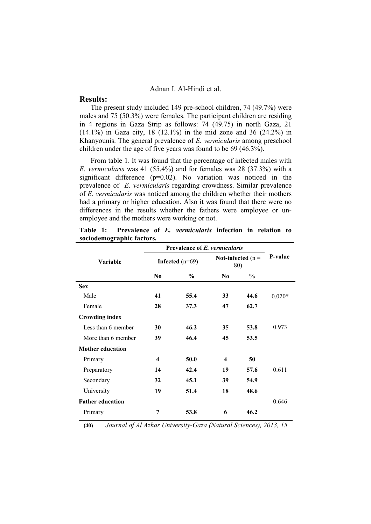# **Results:**

The present study included 149 pre-school children, 74 (49.7%) were males and 75 (50.3%) were females. The participant children are residing in 4 regions in Gaza Strip as follows: 74 (49.75) in north Gaza, 21 (14.1%) in Gaza city, 18 (12.1%) in the mid zone and 36 (24.2%) in Khanyounis. The general prevalence of *E. vermicularis* among preschool children under the age of five years was found to be 69 (46.3%).

From table 1. It was found that the percentage of infected males with *E. vermicularis* was 41 (55.4%) and for females was 28 (37.3%) with a significant difference (p=0.02). No variation was noticed in the prevalence of *E. vermicularis* regarding crowdness. Similar prevalence of *E. vermicularis* was noticed among the children whether their mothers had a primary or higher education. Also it was found that there were no differences in the results whether the fathers were employee or unemployee and the mothers were working or not.

|  |                           |  | Table 1: Prevalence of E. vermicularis infection in relation to |  |  |
|--|---------------------------|--|-----------------------------------------------------------------|--|--|
|  | sociodemographic factors. |  |                                                                 |  |  |

|                         | Prevalence of E. vermicularis |               |                            |               |          |
|-------------------------|-------------------------------|---------------|----------------------------|---------------|----------|
| <b>Variable</b>         | Infected $(n=69)$             |               | Not-infected $(n =$<br>80) |               | P-value  |
|                         | N <sub>0</sub>                | $\frac{0}{0}$ | N <sub>0</sub>             | $\frac{0}{0}$ |          |
| <b>Sex</b>              |                               |               |                            |               |          |
| Male                    | 41                            | 55.4          | 33                         | 44.6          | $0.020*$ |
| Female                  | 28                            | 37.3          | 47                         | 62.7          |          |
| <b>Crowding index</b>   |                               |               |                            |               |          |
| Less than 6 member      | 30                            | 46.2          | 35                         | 53.8          | 0.973    |
| More than 6 member      | 39                            | 46.4          | 45                         | 53.5          |          |
| <b>Mother education</b> |                               |               |                            |               |          |
| Primary                 | $\overline{\mathbf{4}}$       | 50.0          | $\overline{\mathbf{4}}$    | 50            |          |
| Preparatory             | 14                            | 42.4          | 19                         | 57.6          | 0.611    |
| Secondary               | 32                            | 45.1          | 39                         | 54.9          |          |
| University              | 19                            | 51.4          | 18                         | 48.6          |          |
| <b>Father education</b> |                               |               |                            |               | 0.646    |
| Primary                 | 7                             | 53.8          | 6                          | 46.2          |          |

**(40)** *Journal of Al Azhar University-Gaza (Natural Sciences), 2013, 15*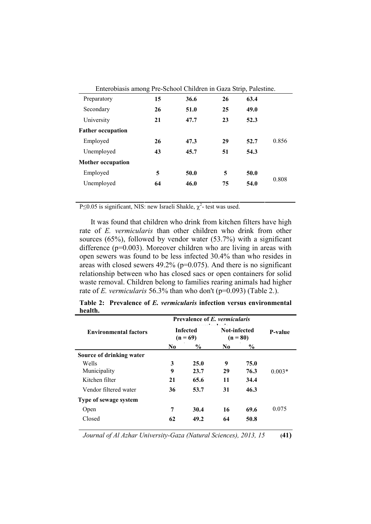| Enterobiasis among Pre-School Children in Gaza Strip, Palestine. |    |      |    |      |       |
|------------------------------------------------------------------|----|------|----|------|-------|
| Preparatory                                                      | 15 | 36.6 | 26 | 63.4 |       |
| Secondary                                                        | 26 | 51.0 | 25 | 49.0 |       |
| University                                                       | 21 | 47.7 | 23 | 52.3 |       |
| <b>Father occupation</b>                                         |    |      |    |      |       |
| Employed                                                         | 26 | 47.3 | 29 | 52.7 | 0.856 |
| Unemployed                                                       | 43 | 45.7 | 51 | 54.3 |       |
| <b>Mother occupation</b>                                         |    |      |    |      |       |
| Employed                                                         | 5  | 50.0 | 5  | 50.0 |       |
| Unemployed                                                       | 64 | 46.0 | 75 | 54.0 | 0.808 |
|                                                                  |    |      |    |      |       |

P $\leq$ 0.05 is significant, NIS: new Israeli Shakle,  $\chi^2$ - test was used.

It was found that children who drink from kitchen filters have high rate of *E. vermicularis* than other children who drink from other sources (65%), followed by vendor water (53.7%) with a significant difference (p=0.003). Moreover children who are living in areas with open sewers was found to be less infected 30.4% than who resides in areas with closed sewers 49.2% (p=0.075). And there is no significant relationship between who has closed sacs or open containers for solid waste removal. Children belong to families rearing animals had higher rate of *E. vermicularis* 56.3% than who don't (p=0.093) (Table 2.).

|                              | <b>Prevalence of E. vermicularis</b> |      |                            |      |          |
|------------------------------|--------------------------------------|------|----------------------------|------|----------|
| <b>Environmental factors</b> | <b>Infected</b><br>$(n = 69)$        |      | Not-infected<br>$(n = 80)$ |      | P-value  |
|                              | N <sub>0</sub>                       | $\%$ | N <sub>0</sub>             | $\%$ |          |
| Source of drinking water     |                                      |      |                            |      |          |
| Wells                        | 3                                    | 25.0 | 9                          | 75.0 |          |
| Municipality                 | 9                                    | 23.7 | 29                         | 76.3 | $0.003*$ |
| Kitchen filter               | 21                                   | 65.6 | 11                         | 34.4 |          |
| Vendor filtered water        | 36                                   | 53.7 | 31                         | 46.3 |          |
| Type of sewage system        |                                      |      |                            |      |          |
| Open                         | 7                                    | 30.4 | 16                         | 69.6 | 0.075    |
| Closed                       | 62                                   | 49.2 | 64                         | 50.8 |          |

**Table 2: Prevalence of** *E. vermicularis* **infection versus environmental health.** 

*Journal of Al Azhar University-Gaza (Natural Sciences), 2013, 15* **(41)**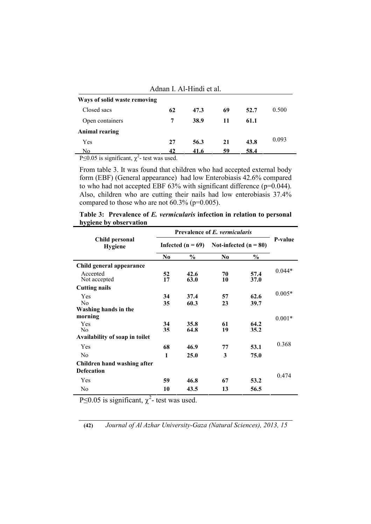|                              | Adnan I. Al-Hindi et al. |      |    |      |       |
|------------------------------|--------------------------|------|----|------|-------|
| Ways of solid waste removing |                          |      |    |      |       |
| Closed sacs                  | 62                       | 47.3 | 69 | 52.7 | 0.500 |
| Open containers              | 7                        | 38.9 | 11 | 61.1 |       |
| <b>Animal rearing</b>        |                          |      |    |      |       |
| Yes                          | 27                       | 56.3 | 21 | 43.8 | 0.093 |
| No<br>$\sim$                 | 42                       | 41.6 | 59 | 58.4 |       |

|  |  | Adnan I. Al-Hindi et al. |  |
|--|--|--------------------------|--|
|--|--|--------------------------|--|

P $\leq$ 0.05 is significant,  $\chi^2$ - test was used.

From table 3. It was found that children who had accepted external body form (EBF) (General appearance) had low Enterobiasis 42.6% compared to who had not accepted EBF 63% with significant difference (p=0.044). Also, children who are cutting their nails had low enterobiasis 37.4% compared to those who are not 60.3% (p=0.005).

| Table 3: Prevalence of E. vermicularis infection in relation to personal |  |  |
|--------------------------------------------------------------------------|--|--|
| hygiene by observation                                                   |  |  |

|                                  | Prevalence of E. vermicularis |               |                         |              |          |
|----------------------------------|-------------------------------|---------------|-------------------------|--------------|----------|
| Child personal<br><b>Hygiene</b> | Infected $(n = 69)$           |               | Not-infected $(n = 80)$ |              | P-value  |
|                                  | N <sub>0</sub>                | $\frac{0}{0}$ | N <sub>0</sub>          | $\%$         |          |
| Child general appearance         |                               |               |                         |              |          |
| Accepted<br>Not accepted         | 52<br>17                      | 42.6<br>63.0  | 70<br>10                | 57.4<br>37.0 | $0.044*$ |
| <b>Cutting nails</b>             |                               |               |                         |              |          |
| Yes<br>No                        | 34<br>35                      | 37.4<br>60.3  | 57<br>23                | 62.6<br>39.7 | $0.005*$ |
| Washing hands in the             |                               |               |                         |              |          |
| morning                          |                               |               |                         |              | $0.001*$ |
| Yes<br>No.                       | 34<br>35                      | 35.8<br>64.8  | 61<br>19                | 64.2<br>35.2 |          |
| Availability of soap in toilet   |                               |               |                         |              |          |
| Yes                              | 68                            | 46.9          | 77                      | 53.1         | 0.368    |
| N <sub>0</sub>                   | 1                             | 25.0          | 3                       | 75.0         |          |
| Children hand washing after      |                               |               |                         |              |          |
| <b>Defecation</b>                |                               |               |                         |              |          |
| Yes                              | 59                            | 46.8          | 67                      | 53.2         | 0.474    |
| N <sub>0</sub>                   | 10                            | 43.5          | 13                      | 56.5         |          |

P $\leq$ 0.05 is significant,  $\chi^2$ - test was used.

**(42)** *Journal of Al Azhar University-Gaza (Natural Sciences), 2013, 15*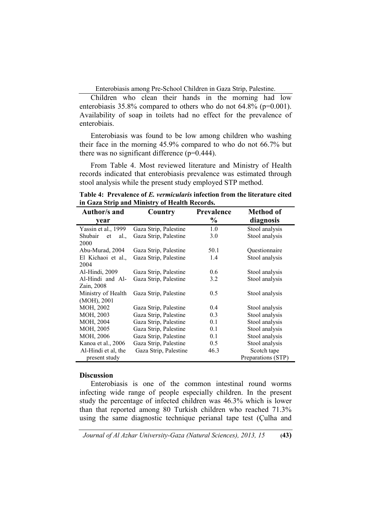Children who clean their hands in the morning had low enterobiasis  $35.8\%$  compared to others who do not  $64.8\%$  (p=0.001). Availability of soap in toilets had no effect for the prevalence of enterobiais.

Enterobiasis was found to be low among children who washing their face in the morning 45.9% compared to who do not 66.7% but there was no significant difference (p=0.444).

From Table 4. Most reviewed literature and Ministry of Health records indicated that enterobiasis prevalence was estimated through stool analysis while the present study employed STP method.

| Table 4: Prevalence of E. <i>vermicularis</i> infection from the literature cited |  |
|-----------------------------------------------------------------------------------|--|
| in Gaza Strip and Ministry of Health Records.                                     |  |

| Author/s and          | Country               | <b>Prevalence</b> | Method of          |
|-----------------------|-----------------------|-------------------|--------------------|
| year                  |                       | $\frac{0}{0}$     | diagnosis          |
| Yassin et al., 1999   | Gaza Strip, Palestine | 1.0               | Stool analysis     |
| Shubair<br>al.,<br>et | Gaza Strip, Palestine | 3.0               | Stool analysis     |
| 2000                  |                       |                   |                    |
| Abu-Murad, 2004       | Gaza Strip, Palestine | 50.1              | Questionnaire      |
| El Kichaoi et al.,    | Gaza Strip, Palestine | 1.4               | Stool analysis     |
| 2004                  |                       |                   |                    |
| Al-Hindi, 2009        | Gaza Strip, Palestine | 0.6               | Stool analysis     |
| Al-Hindi and Al-      | Gaza Strip, Palestine | 3.2               | Stool analysis     |
| Zain, 2008            |                       |                   |                    |
| Ministry of Health    | Gaza Strip, Palestine | 0.5               | Stool analysis     |
| (MOH), 2001           |                       |                   |                    |
| MOH, 2002             | Gaza Strip, Palestine | 0.4               | Stool analysis     |
| MOH, 2003             | Gaza Strip, Palestine | 0.3               | Stool analysis     |
| MOH, 2004             | Gaza Strip, Palestine | 0.1               | Stool analysis     |
| MOH, 2005             | Gaza Strip, Palestine | 0.1               | Stool analysis     |
| MOH, 2006             | Gaza Strip, Palestine | 0.1               | Stool analysis     |
| Kanoa et al., 2006    | Gaza Strip, Palestine | 0.5               | Stool analysis     |
| Al-Hindi et al, the   | Gaza Strip, Palestine | 46.3              | Scotch tape        |
| present study         |                       |                   | Preparations (STP) |

#### **Discussion**

Enterobiasis is one of the common intestinal round worms infecting wide range of people especially children. In the present study the percentage of infected children was 46.3% which is lower than that reported among 80 Turkish children who reached 71.3% using the same diagnostic technique perianal tape test (Çulha and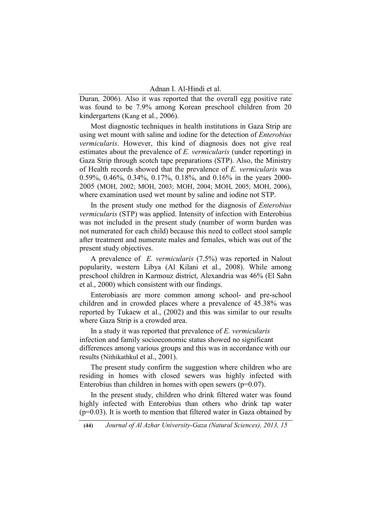Duran*,* 2006). Also it was reported that the overall egg positive rate was found to be 7.9% among Korean preschool children from 20 kindergartens (Kang et al., 2006).

Most diagnostic techniques in health institutions in Gaza Strip are using wet mount with saline and iodine for the detection of *Enterobius vermicularis*. However, this kind of diagnosis does not give real estimates about the prevalence of *E. vermicularis* (under reporting) in Gaza Strip through scotch tape preparations (STP). Also, the Ministry of Health records showed that the prevalence of *E. vermicularis* was 0.59%, 0.46%, 0.34%, 0.17%, 0.18%, and 0.16% in the years 2000- 2005 (MOH, 2002; MOH, 2003; MOH, 2004; MOH, 2005; MOH, 2006), where examination used wet mount by saline and iodine not STP.

In the present study one method for the diagnosis of *Enterobius vermicularis* (STP) was applied. Intensity of infection with Enterobius was not included in the present study (number of worm burden was not numerated for each child) because this need to collect stool sample after treatment and numerate males and females, which was out of the present study objectives.

A prevalence of *E. vermicularis* (7.5%) was reported in Nalout popularity, western Libya (Al Kilani et al., 2008). While among preschool children in Karmouz district, Alexandria was 46% (El Sahn et al., 2000) which consistent with our findings.

Enterobiasis are more common among school- and pre-school children and in crowded places where a prevalence of 45.38% was reported by Tukaew et al., (2002) and this was similar to our results where Gaza Strip is a crowded area.

In a study it was reported that prevalence of *E. vermicularis*  infection and family socioeconomic status showed no significant differences among various groups and this was in accordance with our results (Nithikathkul et al., 2001).

The present study confirm the suggestion where children who are residing in homes with closed sewers was highly infected with Enterobius than children in homes with open sewers  $(p=0.07)$ .

In the present study, children who drink filtered water was found highly infected with Enterobius than others who drink tap water  $(p=0.03)$ . It is worth to mention that filtered water in Gaza obtained by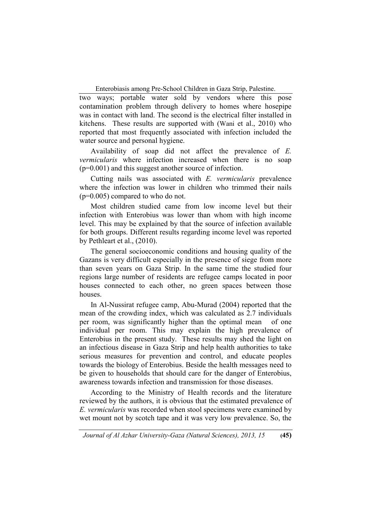two ways; portable water sold by vendors where this pose contamination problem through delivery to homes where hosepipe was in contact with land. The second is the electrical filter installed in kitchens. These results are supported with (Wani et al., 2010) who reported that most frequently associated with infection included the water source and personal hygiene.

Availability of soap did not affect the prevalence of *E. vermicularis* where infection increased when there is no soap (p=0.001) and this suggest another source of infection.

Cutting nails was associated with *E. vermicularis* prevalence where the infection was lower in children who trimmed their nails (p=0.005) compared to who do not.

Most children studied came from low income level but their infection with Enterobius was lower than whom with high income level. This may be explained by that the source of infection available for both groups. Different results regarding income level was reported by Pethleart et al., (2010).

The general socioeconomic conditions and housing quality of the Gazans is very difficult especially in the presence of siege from more than seven years on Gaza Strip. In the same time the studied four regions large number of residents are refugee camps located in poor houses connected to each other, no green spaces between those houses.

In Al-Nussirat refugee camp, Abu-Murad (2004) reported that the mean of the crowding index, which was calculated as 2.7 individuals per room, was significantly higher than the optimal mean of one individual per room. This may explain the high prevalence of Enterobius in the present study. These results may shed the light on an infectious disease in Gaza Strip and help health authorities to take serious measures for prevention and control, and educate peoples towards the biology of Enterobius. Beside the health messages need to be given to households that should care for the danger of Enterobius, awareness towards infection and transmission for those diseases.

According to the Ministry of Health records and the literature reviewed by the authors, it is obvious that the estimated prevalence of *E. vermicularis* was recorded when stool specimens were examined by wet mount not by scotch tape and it was very low prevalence. So, the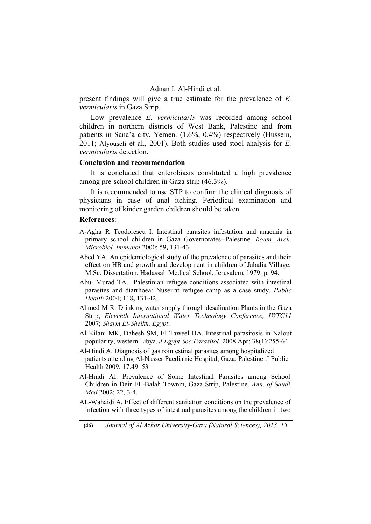present findings will give a true estimate for the prevalence of *E. vermicularis* in Gaza Strip.

Low prevalence *E. vermicularis* was recorded among school children in northern districts of West Bank, Palestine and from patients in Sana'a city, Yemen. (1.6%, 0.4%) respectively (Hussein, 2011; Alyousefi et al., 2001). Both studies used stool analysis for *E. vermicularis* detection.

### **Conclusion and recommendation**

It is concluded that enterobiasis constituted a high prevalence among pre-school children in Gaza strip (46.3%).

It is recommended to use STP to confirm the clinical diagnosis of physicians in case of anal itching. Periodical examination and monitoring of kinder garden children should be taken.

#### **References**:

- A-Agha R Teodorescu I. Intestinal parasites infestation and anaemia in primary school children in Gaza Governorates--Palestine. *Roum. Arch. Microbiol. Immunol* 2000; 59**,** 131-43.
- Abed YA. An epidemiological study of the prevalence of parasites and their effect on HB and growth and development in children of Jabalia Village. M.Sc. Dissertation, Hadassah Medical School, Jerusalem, 1979; p, 94.
- Abu- Murad TA. Palestinian refugee conditions associated with intestinal parasites and diarrhoea: Nuseirat refugee camp as a case study. *Public Health* 2004; 118**,** 131-42.
- Ahmed M R. Drinking water supply through desalination Plants in the Gaza Strip, *Eleventh International Water Technology Conference, IWTC11*  2007; *Sharm El-Sheikh, Egypt*.
- Al Kilani MK, Dahesh SM, El Taweel HA. Intestinal parasitosis in Nalout popularity, western Libya. *J Egypt Soc Parasitol.* 2008 Apr; 38(1):255-64
- Al-Hindi A. Diagnosis of gastrointestinal parasites among hospitalized patients attending Al-Nasser Paediatric Hospital, Gaza, Palestine. J Public Health 2009; 17:49–53
- Al-Hindi AI. Prevalence of Some Intestinal Parasites among School Children in Deir EL-Balah Townm, Gaza Strip, Palestine. *Ann. of Saudi Med* 2002; 22, 3-4.
- AL-Wahaidi A. Effect of different sanitation conditions on the prevalence of infection with three types of intestinal parasites among the children in two

**(46)** *Journal of Al Azhar University-Gaza (Natural Sciences), 2013, 15*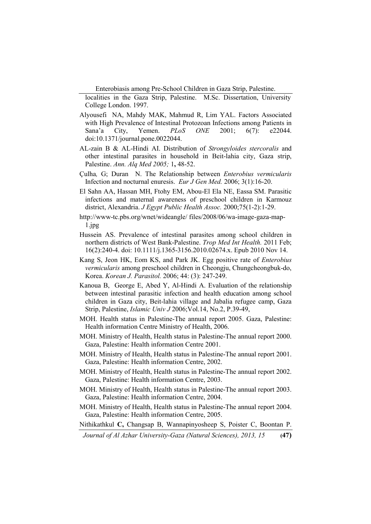localities in the Gaza Strip, Palestine. M.Sc. Dissertation, University College London. 1997.

- Alyousefi NA, Mahdy MAK, Mahmud R, Lim YAL. Factors Associated with High Prevalence of Intestinal Protozoan Infections among Patients in Sana'a City, Yemen. *PLoS ONE* 2001; 6(7): e22044. doi:10.1371/journal.pone.0022044.
- AL-zain B & AL-Hindi AI. Distribution of *Strongyloides stercoralis* and other intestinal parasites in household in Beit-lahia city, Gaza strip, Palestine. *Ann. Alq Med 2005;* 1**,** 48-52.
- Çulha*,* G; Duran N. The Relationship between *Enterobius vermicularis*  Infection and nocturnal enuresis. *Eur J Gen Med.* 2006; 3(1):16-20.
- El Sahn AA, Hassan MH, Ftohy EM, Abou-El Ela NE, Eassa SM. Parasitic infections and maternal awareness of preschool children in Karmouz district, Alexandria. *J Egypt Public Health Assoc.* 2000;75(1-2):1-29.
- http://www-tc.pbs.org/wnet/wideangle/ files/2008/06/wa-image-gaza-map-1.jpg
- Hussein AS. Prevalence of intestinal parasites among school children in northern districts of West Bank-Palestine. *Trop Med Int Health.* 2011 Feb; 16(2):240-4. doi: 10.1111/j.1365-3156.2010.02674.x. Epub 2010 Nov 14.
- Kang S, Jeon HK, Eom KS, and Park JK. Egg positive rate of *Enterobius vermicularis* among preschool children in Cheongju, Chungcheongbuk-do, Korea. *Korean J. Parasitol.* 2006; 44: (3): 247-249.
- Kanoua B, George E, Abed Y, Al-Hindi A. Evaluation of the relationship between intestinal parasitic infection and health education among school children in Gaza city, Beit-lahia village and Jabalia refugee camp, Gaza Strip, Palestine, *Islamic Univ J* 2006;Vol.14, No.2, P.39-49,
- MOH. Health status in Palestine-The annual report 2005. Gaza, Palestine: Health information Centre Ministry of Health, 2006.
- MOH. Ministry of Health, Health status in Palestine-The annual report 2000. Gaza, Palestine: Health information Centre 2001.
- MOH. Ministry of Health, Health status in Palestine-The annual report 2001. Gaza, Palestine: Health information Centre, 2002.
- MOH. Ministry of Health, Health status in Palestine-The annual report 2002. Gaza, Palestine: Health information Centre, 2003.
- MOH. Ministry of Health, Health status in Palestine-The annual report 2003. Gaza, Palestine: Health information Centre, 2004.
- MOH. Ministry of Health, Health status in Palestine-The annual report 2004. Gaza, Palestine: Health information Centre, 2005.

Nithikathkul **C,** Changsap B, Wannapinyosheep S, Poister C, Boontan P.

*Journal of Al Azhar University-Gaza (Natural Sciences), 2013, 15* **(47)**